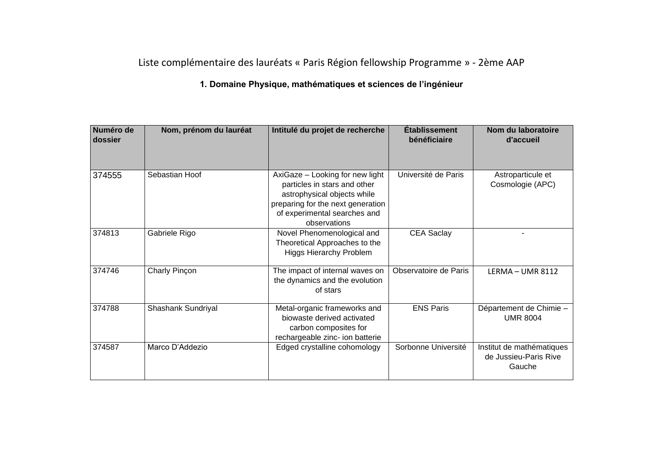## Liste complémentaire des lauréats « Paris Région fellowship Programme » - 2ème AAP

## **1. Domaine Physique, mathématiques et sciences de l'ingénieur**

| Numéro de<br>dossier | Nom, prénom du lauréat | Intitulé du projet de recherche                                                                                                                                                     | <b>Etablissement</b><br>bénéficiaire | Nom du laboratoire<br>d'accueil                              |
|----------------------|------------------------|-------------------------------------------------------------------------------------------------------------------------------------------------------------------------------------|--------------------------------------|--------------------------------------------------------------|
| 374555               | Sebastian Hoof         | AxiGaze - Looking for new light<br>particles in stars and other<br>astrophysical objects while<br>preparing for the next generation<br>of experimental searches and<br>observations | Université de Paris                  | Astroparticule et<br>Cosmologie (APC)                        |
| 374813               | Gabriele Rigo          | Novel Phenomenological and<br>Theoretical Approaches to the<br><b>Higgs Hierarchy Problem</b>                                                                                       | <b>CEA Saclay</b>                    |                                                              |
| 374746               | Charly Pinçon          | The impact of internal waves on<br>the dynamics and the evolution<br>of stars                                                                                                       | Observatoire de Paris                | LERMA - UMR 8112                                             |
| 374788               | Shashank Sundriyal     | Metal-organic frameworks and<br>biowaste derived activated<br>carbon composites for<br>rechargeable zinc- ion batterie                                                              | <b>ENS Paris</b>                     | Département de Chimie -<br><b>UMR 8004</b>                   |
| 374587               | Marco D'Addezio        | Edged crystalline cohomology                                                                                                                                                        | Sorbonne Université                  | Institut de mathématiques<br>de Jussieu-Paris Rive<br>Gauche |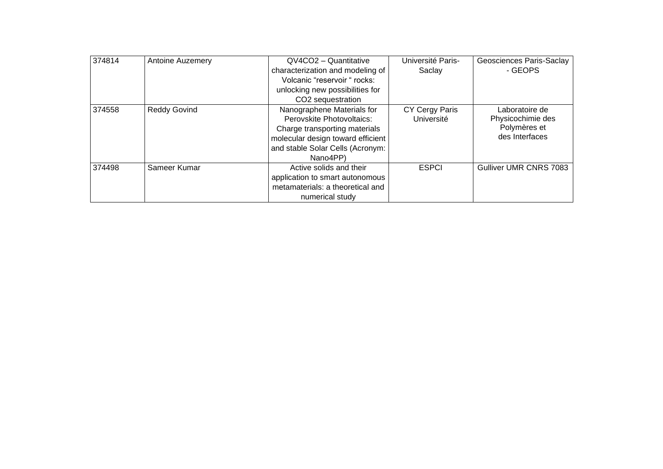| 374814 | Antoine Auzemery    | $QV4CO2 - Quantitative$           | Université Paris- | Geosciences Paris-Saclay |
|--------|---------------------|-----------------------------------|-------------------|--------------------------|
|        |                     | characterization and modeling of  | Saclay            | - GEOPS                  |
|        |                     | Volcanic "reservoir " rocks:      |                   |                          |
|        |                     | unlocking new possibilities for   |                   |                          |
|        |                     | CO2 sequestration                 |                   |                          |
| 374558 | <b>Reddy Govind</b> | Nanographene Materials for        | CY Cergy Paris    | Laboratoire de           |
|        |                     | Perovskite Photovoltaics:         | Université        | Physicochimie des        |
|        |                     | Charge transporting materials     |                   | Polymères et             |
|        |                     | molecular design toward efficient |                   | des Interfaces           |
|        |                     | and stable Solar Cells (Acronym:  |                   |                          |
|        |                     | Nano4PP)                          |                   |                          |
| 374498 | Sameer Kumar        | Active solids and their           | <b>ESPCI</b>      | Gulliver UMR CNRS 7083   |
|        |                     | application to smart autonomous   |                   |                          |
|        |                     | metamaterials: a theoretical and  |                   |                          |
|        |                     | numerical study                   |                   |                          |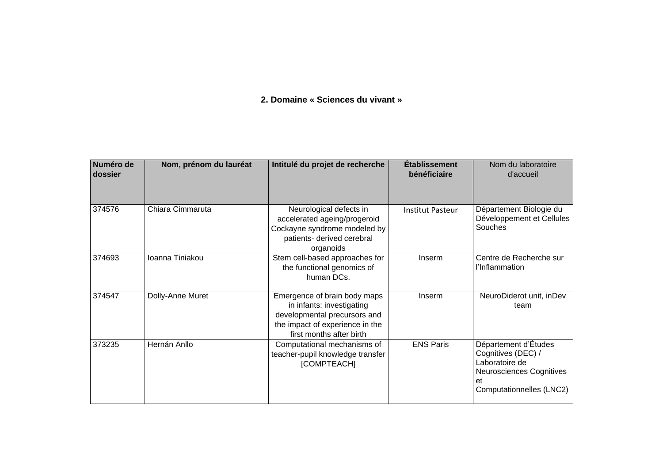## **2. Domaine « Sciences du vivant »**

| Numéro de<br>dossier | Nom, prénom du lauréat | Intitulé du projet de recherche                                                                                                                          | <b>Établissement</b><br>bénéficiaire | Nom du laboratoire<br>d'accueil                                                                                            |
|----------------------|------------------------|----------------------------------------------------------------------------------------------------------------------------------------------------------|--------------------------------------|----------------------------------------------------------------------------------------------------------------------------|
| 374576               | Chiara Cimmaruta       | Neurological defects in<br>accelerated ageing/progeroid<br>Cockayne syndrome modeled by<br>patients- derived cerebral<br>organoids                       | <b>Institut Pasteur</b>              | Département Biologie du<br>Développement et Cellules<br>Souches                                                            |
| 374693               | Ioanna Tiniakou        | Stem cell-based approaches for<br>the functional genomics of<br>human DCs.                                                                               | Inserm                               | Centre de Recherche sur<br>l'Inflammation                                                                                  |
| 374547               | Dolly-Anne Muret       | Emergence of brain body maps<br>in infants: investigating<br>developmental precursors and<br>the impact of experience in the<br>first months after birth | Inserm                               | NeuroDiderot unit, inDev<br>team                                                                                           |
| 373235               | Hernán Anllo           | Computational mechanisms of<br>teacher-pupil knowledge transfer<br>[COMPTEACH]                                                                           | <b>ENS Paris</b>                     | Département d'Études<br>Cognitives (DEC) /<br>Laboratoire de<br>Neurosciences Cognitives<br>et<br>Computationnelles (LNC2) |